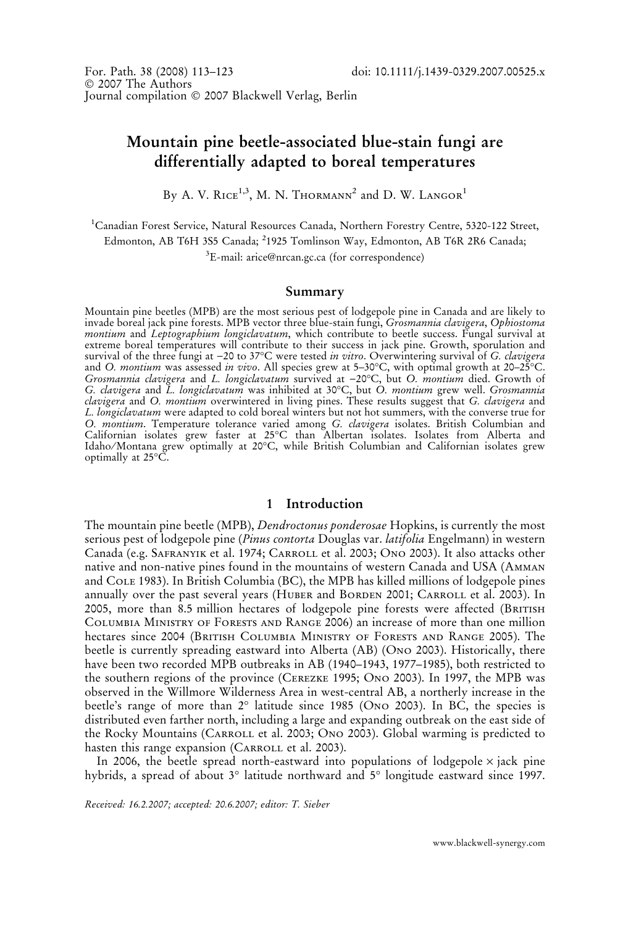# Mountain pine beetle-associated blue-stain fungi are differentially adapted to boreal temperatures

By A. V. RICE<sup>1,3</sup>, M. N. THORMANN<sup>2</sup> and D. W. LANGOR<sup>1</sup>

<sup>1</sup>Canadian Forest Service, Natural Resources Canada, Northern Forestry Centre, 5320-122 Street, Edmonton, AB T6H 3S5 Canada; <sup>2</sup>1925 Tomlinson Way, Edmonton, AB T6R 2R6 Canada;

<sup>3</sup>E-mail: arice@nrcan.gc.ca (for correspondence)

#### Summary

Mountain pine beetles (MPB) are the most serious pest of lodgepole pine in Canada and are likely to invade boreal jack pine forests. MPB vector three blue-stain fungi, Grosmannia clavigera, Ophiostoma montium and Leptographium longiclavatum, which contribute to beetle success. Fungal survival at extreme boreal temperatures will contribute to their success in jack pine. Growth, sporulation and survival of the three fungi at –20 to 37°C were tested *in vitro*. Overwintering survival of *G. clavigera* and O. *montium* was assessed *in vivo*. All species grew at 5–30°C, with optimal growth at 20–25°C. Gros*mannia clavigera* and *L. longiclavatum* survived at –20°C, but O*. montium* died. Growth of G. clavigera and L. longiclavatum was inhibited at 30°C, but O. montium grew well. Grosmannia clavigera and O. *montium* overwintered in living pines. These results suggest that G. clavigera and L. longiclavatum were adapted to cold boreal winters but not hot summers, with the converse true for O. *montium*. Temperature tolerance varied among G. *clavigera* isolates. British Columbian and Californian isolates grew faster at 25°C than Albertan isolates. Isolates from Alberta and Idaho ⁄ Montana grew optimally at 20-C, while British Columbian and Californian isolates grew optimally at 25°C.

# 1 Introduction

The mountain pine beetle (MPB), *Dendroctonus ponderosae* Hopkins, is currently the most serious pest of lodgepole pine (Pinus contorta Douglas var. latifolia Engelmann) in western Canada (e.g. Safranyik et al. 1974; Carroll et al. 2003; Ono 2003). It also attacks other native and non-native pines found in the mountains of western Canada and USA (Amman and Cole 1983). In British Columbia (BC), the MPB has killed millions of lodgepole pines annually over the past several years (HUBER and BORDEN 2001; CARROLL et al. 2003). In 2005, more than 8.5 million hectares of lodgepole pine forests were affected (BRITISH Columbia Ministry of Forests and Range 2006) an increase of more than one million hectares since 2004 (BRITISH COLUMBIA MINISTRY OF FORESTS AND RANGE 2005). The beetle is currently spreading eastward into Alberta (AB) (Ono 2003). Historically, there have been two recorded MPB outbreaks in AB (1940–1943, 1977–1985), both restricted to the southern regions of the province (Cerezke 1995; Ono 2003). In 1997, the MPB was observed in the Willmore Wilderness Area in west-central AB, a northerly increase in the beetle's range of more than 2° latitude since 1985 (Ono 2003). In BC, the species is distributed even farther north, including a large and expanding outbreak on the east side of the Rocky Mountains (CARROLL et al. 2003; Ono 2003). Global warming is predicted to hasten this range expansion (CARROLL et al. 2003).

In 2006, the beetle spread north-eastward into populations of lodgepole  $\times$  jack pine hybrids, a spread of about 3° latitude northward and 5° longitude eastward since 1997.

Received: 16.2.2007; accepted: 20.6.2007; editor: T. Sieber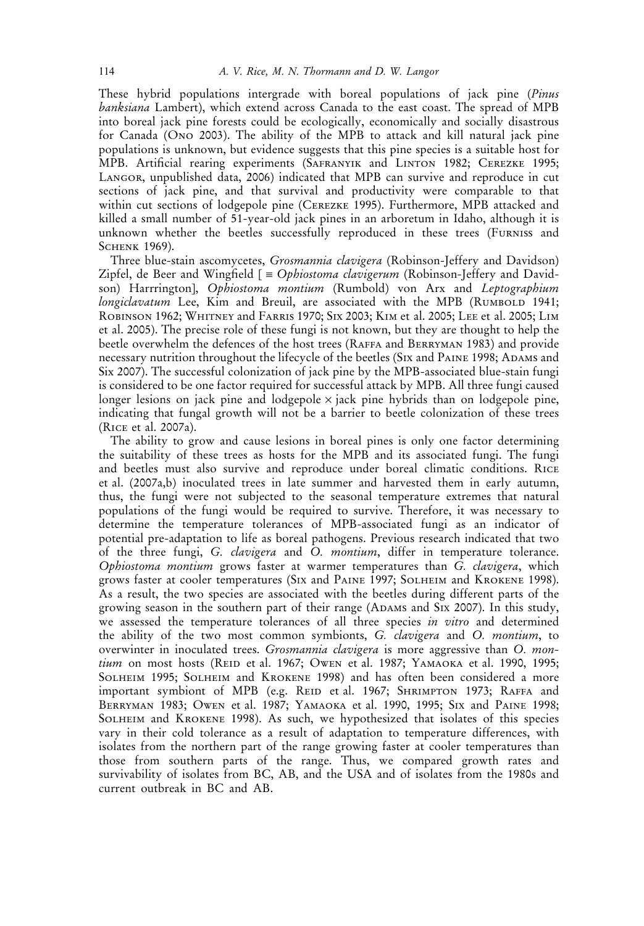These hybrid populations intergrade with boreal populations of jack pine (Pinus banksiana Lambert), which extend across Canada to the east coast. The spread of MPB into boreal jack pine forests could be ecologically, economically and socially disastrous for Canada (Ono 2003). The ability of the MPB to attack and kill natural jack pine populations is unknown, but evidence suggests that this pine species is a suitable host for MPB. Artificial rearing experiments (Safranyik and Linton 1982; Cerezke 1995; Langor, unpublished data, 2006) indicated that MPB can survive and reproduce in cut sections of jack pine, and that survival and productivity were comparable to that within cut sections of lodgepole pine (Cerezke 1995). Furthermore, MPB attacked and killed a small number of 51-year-old jack pines in an arboretum in Idaho, although it is unknown whether the beetles successfully reproduced in these trees (Furniss and SCHENK 1969).

Three blue-stain ascomycetes, Grosmannia clavigera (Robinson-Jeffery and Davidson) Zipfel, de Beer and Wingfield  $\Gamma = Ophiostoma$  clavigerum (Robinson-Jeffery and Davidson) Harrrington], Ophiostoma montium (Rumbold) von Arx and Leptographium longiclavatum Lee, Kim and Breuil, are associated with the MPB (RUMBOLD 1941; Robinson 1962; Whitney and Farris 1970; Six 2003; Kim et al. 2005; Lee et al. 2005; Lim et al. 2005). The precise role of these fungi is not known, but they are thought to help the beetle overwhelm the defences of the host trees (Raffa and Berryman 1983) and provide necessary nutrition throughout the lifecycle of the beetles (Six and Paine 1998; Adams and Six 2007). The successful colonization of jack pine by the MPB-associated blue-stain fungi is considered to be one factor required for successful attack by MPB. All three fungi caused longer lesions on jack pine and lodgepole  $\times$  jack pine hybrids than on lodgepole pine, indicating that fungal growth will not be a barrier to beetle colonization of these trees (Rice et al. 2007a).

The ability to grow and cause lesions in boreal pines is only one factor determining the suitability of these trees as hosts for the MPB and its associated fungi. The fungi and beetles must also survive and reproduce under boreal climatic conditions. Rice et al. (2007a,b) inoculated trees in late summer and harvested them in early autumn, thus, the fungi were not subjected to the seasonal temperature extremes that natural populations of the fungi would be required to survive. Therefore, it was necessary to determine the temperature tolerances of MPB-associated fungi as an indicator of potential pre-adaptation to life as boreal pathogens. Previous research indicated that two of the three fungi, G. clavigera and O. montium, differ in temperature tolerance. Ophiostoma montium grows faster at warmer temperatures than G. clavigera, which grows faster at cooler temperatures (Six and Paine 1997; Solheim and Krokene 1998). As a result, the two species are associated with the beetles during different parts of the growing season in the southern part of their range (ADAMS and SIX 2007). In this study, we assessed the temperature tolerances of all three species in vitro and determined the ability of the two most common symbionts, G. clavigera and O. montium, to overwinter in inoculated trees. Grosmannia clavigera is more aggressive than O. montium on most hosts (REID et al. 1967; OWEN et al. 1987; YAMAOKA et al. 1990, 1995; Solheim 1995; Solheim and Krokene 1998) and has often been considered a more important symbiont of MPB (e.g. REID et al. 1967; SHRIMPTON 1973; RAFFA and Berryman 1983; Owen et al. 1987; Yamaoka et al. 1990, 1995; Six and Paine 1998; Solheim and Krokene 1998). As such, we hypothesized that isolates of this species vary in their cold tolerance as a result of adaptation to temperature differences, with isolates from the northern part of the range growing faster at cooler temperatures than those from southern parts of the range. Thus, we compared growth rates and survivability of isolates from BC, AB, and the USA and of isolates from the 1980s and current outbreak in BC and AB.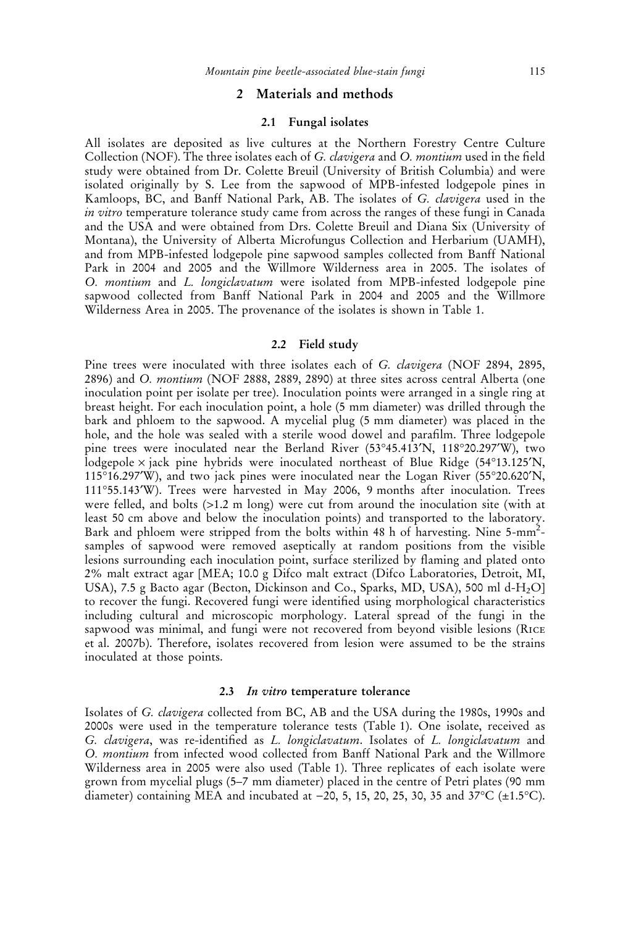## 2 Materials and methods

## 2.1 Fungal isolates

All isolates are deposited as live cultures at the Northern Forestry Centre Culture Collection (NOF). The three isolates each of G. *clavigera* and O. *montium* used in the field study were obtained from Dr. Colette Breuil (University of British Columbia) and were isolated originally by S. Lee from the sapwood of MPB-infested lodgepole pines in Kamloops, BC, and Banff National Park, AB. The isolates of G. clavigera used in the in vitro temperature tolerance study came from across the ranges of these fungi in Canada and the USA and were obtained from Drs. Colette Breuil and Diana Six (University of Montana), the University of Alberta Microfungus Collection and Herbarium (UAMH), and from MPB-infested lodgepole pine sapwood samples collected from Banff National Park in 2004 and 2005 and the Willmore Wilderness area in 2005. The isolates of O. montium and L. longiclavatum were isolated from MPB-infested lodgepole pine sapwood collected from Banff National Park in 2004 and 2005 and the Willmore Wilderness Area in 2005. The provenance of the isolates is shown in Table 1.

#### 2.2 Field study

Pine trees were inoculated with three isolates each of G. clavigera (NOF 2894, 2895, 2896) and O. montium (NOF 2888, 2889, 2890) at three sites across central Alberta (one inoculation point per isolate per tree). Inoculation points were arranged in a single ring at breast height. For each inoculation point, a hole (5 mm diameter) was drilled through the bark and phloem to the sapwood. A mycelial plug (5 mm diameter) was placed in the hole, and the hole was sealed with a sterile wood dowel and parafilm. Three lodgepole pine trees were inoculated near the Berland River (53°45.413'N, 118°20.297'W), two lodgepole × jack pine hybrids were inoculated northeast of Blue Ridge (54°13.125'N, 115°16.297′W), and two jack pines were inoculated near the Logan River (55°20.620′N, 111-55.143¢W). Trees were harvested in May 2006, 9 months after inoculation. Trees were felled, and bolts (>1.2 m long) were cut from around the inoculation site (with at least 50 cm above and below the inoculation points) and transported to the laboratory. Bark and phloem were stripped from the bolts within 48 h of harvesting. Nine 5-mm<sup>2</sup>samples of sapwood were removed aseptically at random positions from the visible lesions surrounding each inoculation point, surface sterilized by flaming and plated onto 2% malt extract agar [MEA; 10.0 g Difco malt extract (Difco Laboratories, Detroit, MI, USA), 7.5 g Bacto agar (Becton, Dickinson and Co., Sparks, MD, USA), 500 ml d-H<sub>2</sub>O] to recover the fungi. Recovered fungi were identified using morphological characteristics including cultural and microscopic morphology. Lateral spread of the fungi in the sapwood was minimal, and fungi were not recovered from beyond visible lesions (Rice et al. 2007b). Therefore, isolates recovered from lesion were assumed to be the strains inoculated at those points.

#### 2.3 In vitro temperature tolerance

Isolates of G. clavigera collected from BC, AB and the USA during the 1980s, 1990s and 2000s were used in the temperature tolerance tests (Table 1). One isolate, received as G. clavigera, was re-identified as L. longiclavatum. Isolates of L. longiclavatum and O. montium from infected wood collected from Banff National Park and the Willmore Wilderness area in 2005 were also used (Table 1). Three replicates of each isolate were grown from mycelial plugs (5–7 mm diameter) placed in the centre of Petri plates (90 mm diameter) containing MEA and incubated at –20, 5, 15, 20, 25, 30, 35 and 37°C (±1.5°C).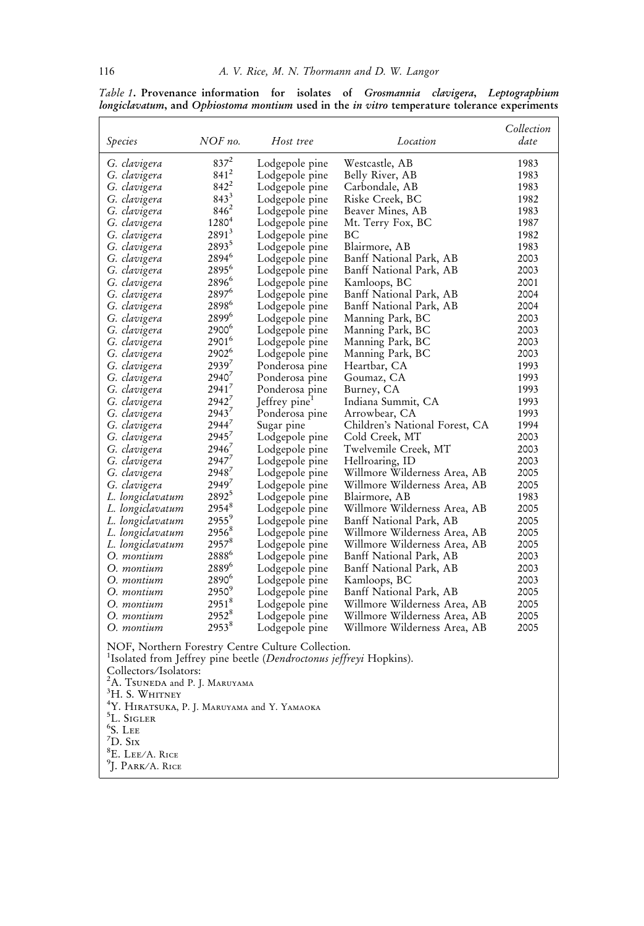| $837^2$<br>Westcastle, AB<br>1983<br>G. clavigera<br>Lodgepole pine<br>$841^2$<br>Lodgepole pine<br>Belly River, AB<br>1983<br>G. clavigera<br>$842^2$<br>G. clavigera<br>Carbondale, AB<br>1983<br>Lodgepole pine<br>$843^3$<br>Riske Creek, BC<br>1982<br>G. clavigera<br>Lodgepole pine<br>$846^2$<br>1983<br>Lodgepole pine<br>Beaver Mines, AB<br>G. clavigera<br>1280 <sup>4</sup><br>1987<br>G. clavigera<br>Lodgepole pine<br>Mt. Terry Fox, BC<br>$2891^3$<br>G. clavigera<br>BС<br>1982<br>Lodgepole pine<br>$2893^5$<br>1983<br>G. clavigera<br>Lodgepole pine<br>Blairmore, AB<br>2894 <sup>6</sup><br>Banff National Park, AB<br>2003<br>G. clavigera<br>Lodgepole pine<br>2895 <sup>6</sup><br>Banff National Park, AB<br>2003<br>G. clavigera<br>Lodgepole pine<br>2896 <sup>6</sup><br>2001<br>G. clavigera<br>Lodgepole pine<br>Kamloops, BC<br>2897 <sup>6</sup><br>Banff National Park, AB<br>2004<br>G. clavigera<br>Lodgepole pine<br>2898 <sup>6</sup><br>2004<br>G. clavigera<br>Banff National Park, AB<br>Lodgepole pine<br>28996<br>Manning Park, BC<br>2003<br>G. clavigera<br>Lodgepole pine<br>2900 <sup>6</sup><br>G. clavigera<br>Lodgepole pine<br>Manning Park, BC<br>2003<br>2901 <sup>6</sup><br>2003<br>G. clavigera<br>Lodgepole pine<br>Manning Park, BC<br>2902 <sup>6</sup><br>G. clavigera<br>Manning Park, BC<br>2003<br>Lodgepole pine<br>2939'<br>Heartbar, CA<br>1993<br>G. clavigera<br>Ponderosa pine<br>$2940^7$<br>1993<br>G. clavigera<br>Ponderosa pine<br>Goumaz, CA<br>$2941^7$<br>1993<br>G. clavigera<br>Burney, CA<br>Ponderosa pine<br>2942'<br>Indiana Summit, CA<br>1993<br>G. clavigera<br>Jeffrey pine <sup>1</sup><br>2943'<br>1993<br>G. clavigera<br>Ponderosa pine<br>Arrowbear, CA<br>$2944^7$<br>Children's National Forest, CA<br>1994<br>G. clavigera<br>Sugar pine<br>2945'<br>Cold Creek, MT<br>2003<br>G. clavigera<br>Lodgepole pine<br>$2946^7$<br>G. clavigera<br>Twelvemile Creek, MT<br>2003<br>Lodgepole pine<br>2947'<br>2003<br>G. clavigera<br>Lodgepole pine<br>Hellroaring, ID<br>2948'<br>Willmore Wilderness Area, AB<br>G. clavigera<br>2005<br>Lodgepole pine<br>2949'<br>Willmore Wilderness Area, AB<br>2005<br>G. clavigera<br>Lodgepole pine<br>$2892^5$<br>1983<br>Blairmore, AB<br>L. longiclavatum<br>Lodgepole pine<br>$2954^8$<br>Willmore Wilderness Area, AB<br>L. longiclavatum<br>2005<br>Lodgepole pine<br>$2955^9$<br>L. longiclavatum<br>Banff National Park, AB<br>2005<br>Lodgepole pine<br>$2956^8$<br>L. longiclavatum<br>Willmore Wilderness Area, AB<br>2005<br>Lodgepole pine<br>$2957^8$<br>Willmore Wilderness Area, AB<br>2005<br>L. longiclavatum<br>Lodgepole pine<br>28886<br>O. montium<br>Banff National Park, AB<br>2003<br>Lodgepole pine<br>2889 <sup>6</sup><br>O. montium<br>Banff National Park, AB<br>2003<br>Lodgepole pine<br>2890 <sup>6</sup><br>2003<br>O. montium<br>Lodgepole pine<br>Kamloops, BC<br>$2950^9$<br>O. montium<br>Lodgepole pine<br>Banff National Park, AB<br>2005<br>$2951^{8}$<br>O. montium<br>Lodgepole pine<br>Willmore Wilderness Area, AB<br>2005<br>2952 <sup>8</sup><br>O. montium<br>Willmore Wilderness Area, AB<br>2005<br>Lodgepole pine<br>2953 <sup>8</sup><br>O. montium<br>Lodgepole pine<br>Willmore Wilderness Area, AB<br>2005<br>NOF, Northern Forestry Centre Culture Collection.<br><sup>1</sup> Isolated from Jeffrey pine beetle (Dendroctonus jeffreyi Hopkins).<br>Collectors/Isolators:<br><sup>2</sup> A. TSUNEDA and P. J. MARUYAMA<br><sup>3</sup> H. S. Whitney<br><sup>4</sup> Y. HIRATSUKA, P. J. MARUYAMA and Y. YAMAOKA<br><sup>5</sup> L. SIGLER<br>$^6$ S. Lee<br>${\rm ^7D.}$ Sıx<br><sup>8</sup> E. LEE/A. RICE<br><sup>9</sup> J. Park/A. Rice | <i>Species</i> | NOF no. | Host tree | Location | Collection<br>date |  |
|--------------------------------------------------------------------------------------------------------------------------------------------------------------------------------------------------------------------------------------------------------------------------------------------------------------------------------------------------------------------------------------------------------------------------------------------------------------------------------------------------------------------------------------------------------------------------------------------------------------------------------------------------------------------------------------------------------------------------------------------------------------------------------------------------------------------------------------------------------------------------------------------------------------------------------------------------------------------------------------------------------------------------------------------------------------------------------------------------------------------------------------------------------------------------------------------------------------------------------------------------------------------------------------------------------------------------------------------------------------------------------------------------------------------------------------------------------------------------------------------------------------------------------------------------------------------------------------------------------------------------------------------------------------------------------------------------------------------------------------------------------------------------------------------------------------------------------------------------------------------------------------------------------------------------------------------------------------------------------------------------------------------------------------------------------------------------------------------------------------------------------------------------------------------------------------------------------------------------------------------------------------------------------------------------------------------------------------------------------------------------------------------------------------------------------------------------------------------------------------------------------------------------------------------------------------------------------------------------------------------------------------------------------------------------------------------------------------------------------------------------------------------------------------------------------------------------------------------------------------------------------------------------------------------------------------------------------------------------------------------------------------------------------------------------------------------------------------------------------------------------------------------------------------------------------------------------------------------------------------------------------------------------------------------------------------------------------------------------------------------------------------------------------------------------------------------------------------------------------------------------------------------------------------------------------------------------------------------------------------------------------------------------------------------------------------------------------------------------------------------|----------------|---------|-----------|----------|--------------------|--|
|                                                                                                                                                                                                                                                                                                                                                                                                                                                                                                                                                                                                                                                                                                                                                                                                                                                                                                                                                                                                                                                                                                                                                                                                                                                                                                                                                                                                                                                                                                                                                                                                                                                                                                                                                                                                                                                                                                                                                                                                                                                                                                                                                                                                                                                                                                                                                                                                                                                                                                                                                                                                                                                                                                                                                                                                                                                                                                                                                                                                                                                                                                                                                                                                                                                                                                                                                                                                                                                                                                                                                                                                                                                                                                                                            |                |         |           |          |                    |  |
|                                                                                                                                                                                                                                                                                                                                                                                                                                                                                                                                                                                                                                                                                                                                                                                                                                                                                                                                                                                                                                                                                                                                                                                                                                                                                                                                                                                                                                                                                                                                                                                                                                                                                                                                                                                                                                                                                                                                                                                                                                                                                                                                                                                                                                                                                                                                                                                                                                                                                                                                                                                                                                                                                                                                                                                                                                                                                                                                                                                                                                                                                                                                                                                                                                                                                                                                                                                                                                                                                                                                                                                                                                                                                                                                            |                |         |           |          |                    |  |
|                                                                                                                                                                                                                                                                                                                                                                                                                                                                                                                                                                                                                                                                                                                                                                                                                                                                                                                                                                                                                                                                                                                                                                                                                                                                                                                                                                                                                                                                                                                                                                                                                                                                                                                                                                                                                                                                                                                                                                                                                                                                                                                                                                                                                                                                                                                                                                                                                                                                                                                                                                                                                                                                                                                                                                                                                                                                                                                                                                                                                                                                                                                                                                                                                                                                                                                                                                                                                                                                                                                                                                                                                                                                                                                                            |                |         |           |          |                    |  |
|                                                                                                                                                                                                                                                                                                                                                                                                                                                                                                                                                                                                                                                                                                                                                                                                                                                                                                                                                                                                                                                                                                                                                                                                                                                                                                                                                                                                                                                                                                                                                                                                                                                                                                                                                                                                                                                                                                                                                                                                                                                                                                                                                                                                                                                                                                                                                                                                                                                                                                                                                                                                                                                                                                                                                                                                                                                                                                                                                                                                                                                                                                                                                                                                                                                                                                                                                                                                                                                                                                                                                                                                                                                                                                                                            |                |         |           |          |                    |  |
|                                                                                                                                                                                                                                                                                                                                                                                                                                                                                                                                                                                                                                                                                                                                                                                                                                                                                                                                                                                                                                                                                                                                                                                                                                                                                                                                                                                                                                                                                                                                                                                                                                                                                                                                                                                                                                                                                                                                                                                                                                                                                                                                                                                                                                                                                                                                                                                                                                                                                                                                                                                                                                                                                                                                                                                                                                                                                                                                                                                                                                                                                                                                                                                                                                                                                                                                                                                                                                                                                                                                                                                                                                                                                                                                            |                |         |           |          |                    |  |
|                                                                                                                                                                                                                                                                                                                                                                                                                                                                                                                                                                                                                                                                                                                                                                                                                                                                                                                                                                                                                                                                                                                                                                                                                                                                                                                                                                                                                                                                                                                                                                                                                                                                                                                                                                                                                                                                                                                                                                                                                                                                                                                                                                                                                                                                                                                                                                                                                                                                                                                                                                                                                                                                                                                                                                                                                                                                                                                                                                                                                                                                                                                                                                                                                                                                                                                                                                                                                                                                                                                                                                                                                                                                                                                                            |                |         |           |          |                    |  |
|                                                                                                                                                                                                                                                                                                                                                                                                                                                                                                                                                                                                                                                                                                                                                                                                                                                                                                                                                                                                                                                                                                                                                                                                                                                                                                                                                                                                                                                                                                                                                                                                                                                                                                                                                                                                                                                                                                                                                                                                                                                                                                                                                                                                                                                                                                                                                                                                                                                                                                                                                                                                                                                                                                                                                                                                                                                                                                                                                                                                                                                                                                                                                                                                                                                                                                                                                                                                                                                                                                                                                                                                                                                                                                                                            |                |         |           |          |                    |  |
|                                                                                                                                                                                                                                                                                                                                                                                                                                                                                                                                                                                                                                                                                                                                                                                                                                                                                                                                                                                                                                                                                                                                                                                                                                                                                                                                                                                                                                                                                                                                                                                                                                                                                                                                                                                                                                                                                                                                                                                                                                                                                                                                                                                                                                                                                                                                                                                                                                                                                                                                                                                                                                                                                                                                                                                                                                                                                                                                                                                                                                                                                                                                                                                                                                                                                                                                                                                                                                                                                                                                                                                                                                                                                                                                            |                |         |           |          |                    |  |
|                                                                                                                                                                                                                                                                                                                                                                                                                                                                                                                                                                                                                                                                                                                                                                                                                                                                                                                                                                                                                                                                                                                                                                                                                                                                                                                                                                                                                                                                                                                                                                                                                                                                                                                                                                                                                                                                                                                                                                                                                                                                                                                                                                                                                                                                                                                                                                                                                                                                                                                                                                                                                                                                                                                                                                                                                                                                                                                                                                                                                                                                                                                                                                                                                                                                                                                                                                                                                                                                                                                                                                                                                                                                                                                                            |                |         |           |          |                    |  |
|                                                                                                                                                                                                                                                                                                                                                                                                                                                                                                                                                                                                                                                                                                                                                                                                                                                                                                                                                                                                                                                                                                                                                                                                                                                                                                                                                                                                                                                                                                                                                                                                                                                                                                                                                                                                                                                                                                                                                                                                                                                                                                                                                                                                                                                                                                                                                                                                                                                                                                                                                                                                                                                                                                                                                                                                                                                                                                                                                                                                                                                                                                                                                                                                                                                                                                                                                                                                                                                                                                                                                                                                                                                                                                                                            |                |         |           |          |                    |  |
|                                                                                                                                                                                                                                                                                                                                                                                                                                                                                                                                                                                                                                                                                                                                                                                                                                                                                                                                                                                                                                                                                                                                                                                                                                                                                                                                                                                                                                                                                                                                                                                                                                                                                                                                                                                                                                                                                                                                                                                                                                                                                                                                                                                                                                                                                                                                                                                                                                                                                                                                                                                                                                                                                                                                                                                                                                                                                                                                                                                                                                                                                                                                                                                                                                                                                                                                                                                                                                                                                                                                                                                                                                                                                                                                            |                |         |           |          |                    |  |
|                                                                                                                                                                                                                                                                                                                                                                                                                                                                                                                                                                                                                                                                                                                                                                                                                                                                                                                                                                                                                                                                                                                                                                                                                                                                                                                                                                                                                                                                                                                                                                                                                                                                                                                                                                                                                                                                                                                                                                                                                                                                                                                                                                                                                                                                                                                                                                                                                                                                                                                                                                                                                                                                                                                                                                                                                                                                                                                                                                                                                                                                                                                                                                                                                                                                                                                                                                                                                                                                                                                                                                                                                                                                                                                                            |                |         |           |          |                    |  |
|                                                                                                                                                                                                                                                                                                                                                                                                                                                                                                                                                                                                                                                                                                                                                                                                                                                                                                                                                                                                                                                                                                                                                                                                                                                                                                                                                                                                                                                                                                                                                                                                                                                                                                                                                                                                                                                                                                                                                                                                                                                                                                                                                                                                                                                                                                                                                                                                                                                                                                                                                                                                                                                                                                                                                                                                                                                                                                                                                                                                                                                                                                                                                                                                                                                                                                                                                                                                                                                                                                                                                                                                                                                                                                                                            |                |         |           |          |                    |  |
|                                                                                                                                                                                                                                                                                                                                                                                                                                                                                                                                                                                                                                                                                                                                                                                                                                                                                                                                                                                                                                                                                                                                                                                                                                                                                                                                                                                                                                                                                                                                                                                                                                                                                                                                                                                                                                                                                                                                                                                                                                                                                                                                                                                                                                                                                                                                                                                                                                                                                                                                                                                                                                                                                                                                                                                                                                                                                                                                                                                                                                                                                                                                                                                                                                                                                                                                                                                                                                                                                                                                                                                                                                                                                                                                            |                |         |           |          |                    |  |
|                                                                                                                                                                                                                                                                                                                                                                                                                                                                                                                                                                                                                                                                                                                                                                                                                                                                                                                                                                                                                                                                                                                                                                                                                                                                                                                                                                                                                                                                                                                                                                                                                                                                                                                                                                                                                                                                                                                                                                                                                                                                                                                                                                                                                                                                                                                                                                                                                                                                                                                                                                                                                                                                                                                                                                                                                                                                                                                                                                                                                                                                                                                                                                                                                                                                                                                                                                                                                                                                                                                                                                                                                                                                                                                                            |                |         |           |          |                    |  |
|                                                                                                                                                                                                                                                                                                                                                                                                                                                                                                                                                                                                                                                                                                                                                                                                                                                                                                                                                                                                                                                                                                                                                                                                                                                                                                                                                                                                                                                                                                                                                                                                                                                                                                                                                                                                                                                                                                                                                                                                                                                                                                                                                                                                                                                                                                                                                                                                                                                                                                                                                                                                                                                                                                                                                                                                                                                                                                                                                                                                                                                                                                                                                                                                                                                                                                                                                                                                                                                                                                                                                                                                                                                                                                                                            |                |         |           |          |                    |  |
|                                                                                                                                                                                                                                                                                                                                                                                                                                                                                                                                                                                                                                                                                                                                                                                                                                                                                                                                                                                                                                                                                                                                                                                                                                                                                                                                                                                                                                                                                                                                                                                                                                                                                                                                                                                                                                                                                                                                                                                                                                                                                                                                                                                                                                                                                                                                                                                                                                                                                                                                                                                                                                                                                                                                                                                                                                                                                                                                                                                                                                                                                                                                                                                                                                                                                                                                                                                                                                                                                                                                                                                                                                                                                                                                            |                |         |           |          |                    |  |
|                                                                                                                                                                                                                                                                                                                                                                                                                                                                                                                                                                                                                                                                                                                                                                                                                                                                                                                                                                                                                                                                                                                                                                                                                                                                                                                                                                                                                                                                                                                                                                                                                                                                                                                                                                                                                                                                                                                                                                                                                                                                                                                                                                                                                                                                                                                                                                                                                                                                                                                                                                                                                                                                                                                                                                                                                                                                                                                                                                                                                                                                                                                                                                                                                                                                                                                                                                                                                                                                                                                                                                                                                                                                                                                                            |                |         |           |          |                    |  |
|                                                                                                                                                                                                                                                                                                                                                                                                                                                                                                                                                                                                                                                                                                                                                                                                                                                                                                                                                                                                                                                                                                                                                                                                                                                                                                                                                                                                                                                                                                                                                                                                                                                                                                                                                                                                                                                                                                                                                                                                                                                                                                                                                                                                                                                                                                                                                                                                                                                                                                                                                                                                                                                                                                                                                                                                                                                                                                                                                                                                                                                                                                                                                                                                                                                                                                                                                                                                                                                                                                                                                                                                                                                                                                                                            |                |         |           |          |                    |  |
|                                                                                                                                                                                                                                                                                                                                                                                                                                                                                                                                                                                                                                                                                                                                                                                                                                                                                                                                                                                                                                                                                                                                                                                                                                                                                                                                                                                                                                                                                                                                                                                                                                                                                                                                                                                                                                                                                                                                                                                                                                                                                                                                                                                                                                                                                                                                                                                                                                                                                                                                                                                                                                                                                                                                                                                                                                                                                                                                                                                                                                                                                                                                                                                                                                                                                                                                                                                                                                                                                                                                                                                                                                                                                                                                            |                |         |           |          |                    |  |
|                                                                                                                                                                                                                                                                                                                                                                                                                                                                                                                                                                                                                                                                                                                                                                                                                                                                                                                                                                                                                                                                                                                                                                                                                                                                                                                                                                                                                                                                                                                                                                                                                                                                                                                                                                                                                                                                                                                                                                                                                                                                                                                                                                                                                                                                                                                                                                                                                                                                                                                                                                                                                                                                                                                                                                                                                                                                                                                                                                                                                                                                                                                                                                                                                                                                                                                                                                                                                                                                                                                                                                                                                                                                                                                                            |                |         |           |          |                    |  |
|                                                                                                                                                                                                                                                                                                                                                                                                                                                                                                                                                                                                                                                                                                                                                                                                                                                                                                                                                                                                                                                                                                                                                                                                                                                                                                                                                                                                                                                                                                                                                                                                                                                                                                                                                                                                                                                                                                                                                                                                                                                                                                                                                                                                                                                                                                                                                                                                                                                                                                                                                                                                                                                                                                                                                                                                                                                                                                                                                                                                                                                                                                                                                                                                                                                                                                                                                                                                                                                                                                                                                                                                                                                                                                                                            |                |         |           |          |                    |  |
|                                                                                                                                                                                                                                                                                                                                                                                                                                                                                                                                                                                                                                                                                                                                                                                                                                                                                                                                                                                                                                                                                                                                                                                                                                                                                                                                                                                                                                                                                                                                                                                                                                                                                                                                                                                                                                                                                                                                                                                                                                                                                                                                                                                                                                                                                                                                                                                                                                                                                                                                                                                                                                                                                                                                                                                                                                                                                                                                                                                                                                                                                                                                                                                                                                                                                                                                                                                                                                                                                                                                                                                                                                                                                                                                            |                |         |           |          |                    |  |
|                                                                                                                                                                                                                                                                                                                                                                                                                                                                                                                                                                                                                                                                                                                                                                                                                                                                                                                                                                                                                                                                                                                                                                                                                                                                                                                                                                                                                                                                                                                                                                                                                                                                                                                                                                                                                                                                                                                                                                                                                                                                                                                                                                                                                                                                                                                                                                                                                                                                                                                                                                                                                                                                                                                                                                                                                                                                                                                                                                                                                                                                                                                                                                                                                                                                                                                                                                                                                                                                                                                                                                                                                                                                                                                                            |                |         |           |          |                    |  |
|                                                                                                                                                                                                                                                                                                                                                                                                                                                                                                                                                                                                                                                                                                                                                                                                                                                                                                                                                                                                                                                                                                                                                                                                                                                                                                                                                                                                                                                                                                                                                                                                                                                                                                                                                                                                                                                                                                                                                                                                                                                                                                                                                                                                                                                                                                                                                                                                                                                                                                                                                                                                                                                                                                                                                                                                                                                                                                                                                                                                                                                                                                                                                                                                                                                                                                                                                                                                                                                                                                                                                                                                                                                                                                                                            |                |         |           |          |                    |  |
|                                                                                                                                                                                                                                                                                                                                                                                                                                                                                                                                                                                                                                                                                                                                                                                                                                                                                                                                                                                                                                                                                                                                                                                                                                                                                                                                                                                                                                                                                                                                                                                                                                                                                                                                                                                                                                                                                                                                                                                                                                                                                                                                                                                                                                                                                                                                                                                                                                                                                                                                                                                                                                                                                                                                                                                                                                                                                                                                                                                                                                                                                                                                                                                                                                                                                                                                                                                                                                                                                                                                                                                                                                                                                                                                            |                |         |           |          |                    |  |
|                                                                                                                                                                                                                                                                                                                                                                                                                                                                                                                                                                                                                                                                                                                                                                                                                                                                                                                                                                                                                                                                                                                                                                                                                                                                                                                                                                                                                                                                                                                                                                                                                                                                                                                                                                                                                                                                                                                                                                                                                                                                                                                                                                                                                                                                                                                                                                                                                                                                                                                                                                                                                                                                                                                                                                                                                                                                                                                                                                                                                                                                                                                                                                                                                                                                                                                                                                                                                                                                                                                                                                                                                                                                                                                                            |                |         |           |          |                    |  |
|                                                                                                                                                                                                                                                                                                                                                                                                                                                                                                                                                                                                                                                                                                                                                                                                                                                                                                                                                                                                                                                                                                                                                                                                                                                                                                                                                                                                                                                                                                                                                                                                                                                                                                                                                                                                                                                                                                                                                                                                                                                                                                                                                                                                                                                                                                                                                                                                                                                                                                                                                                                                                                                                                                                                                                                                                                                                                                                                                                                                                                                                                                                                                                                                                                                                                                                                                                                                                                                                                                                                                                                                                                                                                                                                            |                |         |           |          |                    |  |
|                                                                                                                                                                                                                                                                                                                                                                                                                                                                                                                                                                                                                                                                                                                                                                                                                                                                                                                                                                                                                                                                                                                                                                                                                                                                                                                                                                                                                                                                                                                                                                                                                                                                                                                                                                                                                                                                                                                                                                                                                                                                                                                                                                                                                                                                                                                                                                                                                                                                                                                                                                                                                                                                                                                                                                                                                                                                                                                                                                                                                                                                                                                                                                                                                                                                                                                                                                                                                                                                                                                                                                                                                                                                                                                                            |                |         |           |          |                    |  |
|                                                                                                                                                                                                                                                                                                                                                                                                                                                                                                                                                                                                                                                                                                                                                                                                                                                                                                                                                                                                                                                                                                                                                                                                                                                                                                                                                                                                                                                                                                                                                                                                                                                                                                                                                                                                                                                                                                                                                                                                                                                                                                                                                                                                                                                                                                                                                                                                                                                                                                                                                                                                                                                                                                                                                                                                                                                                                                                                                                                                                                                                                                                                                                                                                                                                                                                                                                                                                                                                                                                                                                                                                                                                                                                                            |                |         |           |          |                    |  |
|                                                                                                                                                                                                                                                                                                                                                                                                                                                                                                                                                                                                                                                                                                                                                                                                                                                                                                                                                                                                                                                                                                                                                                                                                                                                                                                                                                                                                                                                                                                                                                                                                                                                                                                                                                                                                                                                                                                                                                                                                                                                                                                                                                                                                                                                                                                                                                                                                                                                                                                                                                                                                                                                                                                                                                                                                                                                                                                                                                                                                                                                                                                                                                                                                                                                                                                                                                                                                                                                                                                                                                                                                                                                                                                                            |                |         |           |          |                    |  |
|                                                                                                                                                                                                                                                                                                                                                                                                                                                                                                                                                                                                                                                                                                                                                                                                                                                                                                                                                                                                                                                                                                                                                                                                                                                                                                                                                                                                                                                                                                                                                                                                                                                                                                                                                                                                                                                                                                                                                                                                                                                                                                                                                                                                                                                                                                                                                                                                                                                                                                                                                                                                                                                                                                                                                                                                                                                                                                                                                                                                                                                                                                                                                                                                                                                                                                                                                                                                                                                                                                                                                                                                                                                                                                                                            |                |         |           |          |                    |  |
|                                                                                                                                                                                                                                                                                                                                                                                                                                                                                                                                                                                                                                                                                                                                                                                                                                                                                                                                                                                                                                                                                                                                                                                                                                                                                                                                                                                                                                                                                                                                                                                                                                                                                                                                                                                                                                                                                                                                                                                                                                                                                                                                                                                                                                                                                                                                                                                                                                                                                                                                                                                                                                                                                                                                                                                                                                                                                                                                                                                                                                                                                                                                                                                                                                                                                                                                                                                                                                                                                                                                                                                                                                                                                                                                            |                |         |           |          |                    |  |
|                                                                                                                                                                                                                                                                                                                                                                                                                                                                                                                                                                                                                                                                                                                                                                                                                                                                                                                                                                                                                                                                                                                                                                                                                                                                                                                                                                                                                                                                                                                                                                                                                                                                                                                                                                                                                                                                                                                                                                                                                                                                                                                                                                                                                                                                                                                                                                                                                                                                                                                                                                                                                                                                                                                                                                                                                                                                                                                                                                                                                                                                                                                                                                                                                                                                                                                                                                                                                                                                                                                                                                                                                                                                                                                                            |                |         |           |          |                    |  |
|                                                                                                                                                                                                                                                                                                                                                                                                                                                                                                                                                                                                                                                                                                                                                                                                                                                                                                                                                                                                                                                                                                                                                                                                                                                                                                                                                                                                                                                                                                                                                                                                                                                                                                                                                                                                                                                                                                                                                                                                                                                                                                                                                                                                                                                                                                                                                                                                                                                                                                                                                                                                                                                                                                                                                                                                                                                                                                                                                                                                                                                                                                                                                                                                                                                                                                                                                                                                                                                                                                                                                                                                                                                                                                                                            |                |         |           |          |                    |  |
|                                                                                                                                                                                                                                                                                                                                                                                                                                                                                                                                                                                                                                                                                                                                                                                                                                                                                                                                                                                                                                                                                                                                                                                                                                                                                                                                                                                                                                                                                                                                                                                                                                                                                                                                                                                                                                                                                                                                                                                                                                                                                                                                                                                                                                                                                                                                                                                                                                                                                                                                                                                                                                                                                                                                                                                                                                                                                                                                                                                                                                                                                                                                                                                                                                                                                                                                                                                                                                                                                                                                                                                                                                                                                                                                            |                |         |           |          |                    |  |
|                                                                                                                                                                                                                                                                                                                                                                                                                                                                                                                                                                                                                                                                                                                                                                                                                                                                                                                                                                                                                                                                                                                                                                                                                                                                                                                                                                                                                                                                                                                                                                                                                                                                                                                                                                                                                                                                                                                                                                                                                                                                                                                                                                                                                                                                                                                                                                                                                                                                                                                                                                                                                                                                                                                                                                                                                                                                                                                                                                                                                                                                                                                                                                                                                                                                                                                                                                                                                                                                                                                                                                                                                                                                                                                                            |                |         |           |          |                    |  |
|                                                                                                                                                                                                                                                                                                                                                                                                                                                                                                                                                                                                                                                                                                                                                                                                                                                                                                                                                                                                                                                                                                                                                                                                                                                                                                                                                                                                                                                                                                                                                                                                                                                                                                                                                                                                                                                                                                                                                                                                                                                                                                                                                                                                                                                                                                                                                                                                                                                                                                                                                                                                                                                                                                                                                                                                                                                                                                                                                                                                                                                                                                                                                                                                                                                                                                                                                                                                                                                                                                                                                                                                                                                                                                                                            |                |         |           |          |                    |  |
|                                                                                                                                                                                                                                                                                                                                                                                                                                                                                                                                                                                                                                                                                                                                                                                                                                                                                                                                                                                                                                                                                                                                                                                                                                                                                                                                                                                                                                                                                                                                                                                                                                                                                                                                                                                                                                                                                                                                                                                                                                                                                                                                                                                                                                                                                                                                                                                                                                                                                                                                                                                                                                                                                                                                                                                                                                                                                                                                                                                                                                                                                                                                                                                                                                                                                                                                                                                                                                                                                                                                                                                                                                                                                                                                            |                |         |           |          |                    |  |
|                                                                                                                                                                                                                                                                                                                                                                                                                                                                                                                                                                                                                                                                                                                                                                                                                                                                                                                                                                                                                                                                                                                                                                                                                                                                                                                                                                                                                                                                                                                                                                                                                                                                                                                                                                                                                                                                                                                                                                                                                                                                                                                                                                                                                                                                                                                                                                                                                                                                                                                                                                                                                                                                                                                                                                                                                                                                                                                                                                                                                                                                                                                                                                                                                                                                                                                                                                                                                                                                                                                                                                                                                                                                                                                                            |                |         |           |          |                    |  |
|                                                                                                                                                                                                                                                                                                                                                                                                                                                                                                                                                                                                                                                                                                                                                                                                                                                                                                                                                                                                                                                                                                                                                                                                                                                                                                                                                                                                                                                                                                                                                                                                                                                                                                                                                                                                                                                                                                                                                                                                                                                                                                                                                                                                                                                                                                                                                                                                                                                                                                                                                                                                                                                                                                                                                                                                                                                                                                                                                                                                                                                                                                                                                                                                                                                                                                                                                                                                                                                                                                                                                                                                                                                                                                                                            |                |         |           |          |                    |  |
|                                                                                                                                                                                                                                                                                                                                                                                                                                                                                                                                                                                                                                                                                                                                                                                                                                                                                                                                                                                                                                                                                                                                                                                                                                                                                                                                                                                                                                                                                                                                                                                                                                                                                                                                                                                                                                                                                                                                                                                                                                                                                                                                                                                                                                                                                                                                                                                                                                                                                                                                                                                                                                                                                                                                                                                                                                                                                                                                                                                                                                                                                                                                                                                                                                                                                                                                                                                                                                                                                                                                                                                                                                                                                                                                            |                |         |           |          |                    |  |
|                                                                                                                                                                                                                                                                                                                                                                                                                                                                                                                                                                                                                                                                                                                                                                                                                                                                                                                                                                                                                                                                                                                                                                                                                                                                                                                                                                                                                                                                                                                                                                                                                                                                                                                                                                                                                                                                                                                                                                                                                                                                                                                                                                                                                                                                                                                                                                                                                                                                                                                                                                                                                                                                                                                                                                                                                                                                                                                                                                                                                                                                                                                                                                                                                                                                                                                                                                                                                                                                                                                                                                                                                                                                                                                                            |                |         |           |          |                    |  |
|                                                                                                                                                                                                                                                                                                                                                                                                                                                                                                                                                                                                                                                                                                                                                                                                                                                                                                                                                                                                                                                                                                                                                                                                                                                                                                                                                                                                                                                                                                                                                                                                                                                                                                                                                                                                                                                                                                                                                                                                                                                                                                                                                                                                                                                                                                                                                                                                                                                                                                                                                                                                                                                                                                                                                                                                                                                                                                                                                                                                                                                                                                                                                                                                                                                                                                                                                                                                                                                                                                                                                                                                                                                                                                                                            |                |         |           |          |                    |  |
|                                                                                                                                                                                                                                                                                                                                                                                                                                                                                                                                                                                                                                                                                                                                                                                                                                                                                                                                                                                                                                                                                                                                                                                                                                                                                                                                                                                                                                                                                                                                                                                                                                                                                                                                                                                                                                                                                                                                                                                                                                                                                                                                                                                                                                                                                                                                                                                                                                                                                                                                                                                                                                                                                                                                                                                                                                                                                                                                                                                                                                                                                                                                                                                                                                                                                                                                                                                                                                                                                                                                                                                                                                                                                                                                            |                |         |           |          |                    |  |
|                                                                                                                                                                                                                                                                                                                                                                                                                                                                                                                                                                                                                                                                                                                                                                                                                                                                                                                                                                                                                                                                                                                                                                                                                                                                                                                                                                                                                                                                                                                                                                                                                                                                                                                                                                                                                                                                                                                                                                                                                                                                                                                                                                                                                                                                                                                                                                                                                                                                                                                                                                                                                                                                                                                                                                                                                                                                                                                                                                                                                                                                                                                                                                                                                                                                                                                                                                                                                                                                                                                                                                                                                                                                                                                                            |                |         |           |          |                    |  |
|                                                                                                                                                                                                                                                                                                                                                                                                                                                                                                                                                                                                                                                                                                                                                                                                                                                                                                                                                                                                                                                                                                                                                                                                                                                                                                                                                                                                                                                                                                                                                                                                                                                                                                                                                                                                                                                                                                                                                                                                                                                                                                                                                                                                                                                                                                                                                                                                                                                                                                                                                                                                                                                                                                                                                                                                                                                                                                                                                                                                                                                                                                                                                                                                                                                                                                                                                                                                                                                                                                                                                                                                                                                                                                                                            |                |         |           |          |                    |  |
|                                                                                                                                                                                                                                                                                                                                                                                                                                                                                                                                                                                                                                                                                                                                                                                                                                                                                                                                                                                                                                                                                                                                                                                                                                                                                                                                                                                                                                                                                                                                                                                                                                                                                                                                                                                                                                                                                                                                                                                                                                                                                                                                                                                                                                                                                                                                                                                                                                                                                                                                                                                                                                                                                                                                                                                                                                                                                                                                                                                                                                                                                                                                                                                                                                                                                                                                                                                                                                                                                                                                                                                                                                                                                                                                            |                |         |           |          |                    |  |
|                                                                                                                                                                                                                                                                                                                                                                                                                                                                                                                                                                                                                                                                                                                                                                                                                                                                                                                                                                                                                                                                                                                                                                                                                                                                                                                                                                                                                                                                                                                                                                                                                                                                                                                                                                                                                                                                                                                                                                                                                                                                                                                                                                                                                                                                                                                                                                                                                                                                                                                                                                                                                                                                                                                                                                                                                                                                                                                                                                                                                                                                                                                                                                                                                                                                                                                                                                                                                                                                                                                                                                                                                                                                                                                                            |                |         |           |          |                    |  |
|                                                                                                                                                                                                                                                                                                                                                                                                                                                                                                                                                                                                                                                                                                                                                                                                                                                                                                                                                                                                                                                                                                                                                                                                                                                                                                                                                                                                                                                                                                                                                                                                                                                                                                                                                                                                                                                                                                                                                                                                                                                                                                                                                                                                                                                                                                                                                                                                                                                                                                                                                                                                                                                                                                                                                                                                                                                                                                                                                                                                                                                                                                                                                                                                                                                                                                                                                                                                                                                                                                                                                                                                                                                                                                                                            |                |         |           |          |                    |  |
|                                                                                                                                                                                                                                                                                                                                                                                                                                                                                                                                                                                                                                                                                                                                                                                                                                                                                                                                                                                                                                                                                                                                                                                                                                                                                                                                                                                                                                                                                                                                                                                                                                                                                                                                                                                                                                                                                                                                                                                                                                                                                                                                                                                                                                                                                                                                                                                                                                                                                                                                                                                                                                                                                                                                                                                                                                                                                                                                                                                                                                                                                                                                                                                                                                                                                                                                                                                                                                                                                                                                                                                                                                                                                                                                            |                |         |           |          |                    |  |
|                                                                                                                                                                                                                                                                                                                                                                                                                                                                                                                                                                                                                                                                                                                                                                                                                                                                                                                                                                                                                                                                                                                                                                                                                                                                                                                                                                                                                                                                                                                                                                                                                                                                                                                                                                                                                                                                                                                                                                                                                                                                                                                                                                                                                                                                                                                                                                                                                                                                                                                                                                                                                                                                                                                                                                                                                                                                                                                                                                                                                                                                                                                                                                                                                                                                                                                                                                                                                                                                                                                                                                                                                                                                                                                                            |                |         |           |          |                    |  |

Table 1. Provenance information for isolates of Grosmannia clavigera, Leptographium longiclavatum, and Ophiostoma montium used in the in vitro temperature tolerance experiments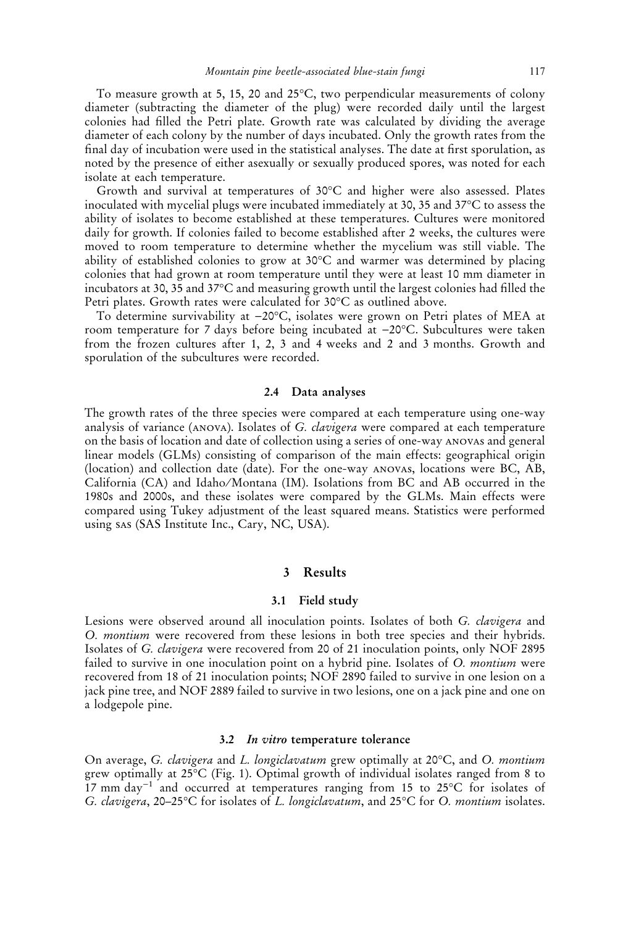To measure growth at 5, 15, 20 and  $25^{\circ}$ C, two perpendicular measurements of colony diameter (subtracting the diameter of the plug) were recorded daily until the largest colonies had filled the Petri plate. Growth rate was calculated by dividing the average diameter of each colony by the number of days incubated. Only the growth rates from the final day of incubation were used in the statistical analyses. The date at first sporulation, as noted by the presence of either asexually or sexually produced spores, was noted for each isolate at each temperature.

Growth and survival at temperatures of  $30^{\circ}$ C and higher were also assessed. Plates inoculated with mycelial plugs were incubated immediately at 30, 35 and 37°C to assess the ability of isolates to become established at these temperatures. Cultures were monitored daily for growth. If colonies failed to become established after 2 weeks, the cultures were moved to room temperature to determine whether the mycelium was still viable. The ability of established colonies to grow at 30°C and warmer was determined by placing colonies that had grown at room temperature until they were at least 10 mm diameter in incubators at 30, 35 and 37°C and measuring growth until the largest colonies had filled the Petri plates. Growth rates were calculated for 30°C as outlined above.

To determine survivability at  $-20^{\circ}\mathrm{C}$ , isolates were grown on Petri plates of MEA at room temperature for 7 days before being incubated at –20°C. Subcultures were taken from the frozen cultures after 1, 2, 3 and 4 weeks and 2 and 3 months. Growth and sporulation of the subcultures were recorded.

#### 2.4 Data analyses

The growth rates of the three species were compared at each temperature using one-way analysis of variance (ANOVA). Isolates of G. clavigera were compared at each temperature on the basis of location and date of collection using a series of one-way anovas and general linear models (GLMs) consisting of comparison of the main effects: geographical origin (location) and collection date (date). For the one-way anovas, locations were BC, AB, California (CA) and Idaho/Montana (IM). Isolations from BC and AB occurred in the 1980s and 2000s, and these isolates were compared by the GLMs. Main effects were compared using Tukey adjustment of the least squared means. Statistics were performed using sas (SAS Institute Inc., Cary, NC, USA).

# 3 Results

## 3.1 Field study

Lesions were observed around all inoculation points. Isolates of both G. *clavigera* and O. montium were recovered from these lesions in both tree species and their hybrids. Isolates of G. clavigera were recovered from 20 of 21 inoculation points, only NOF 2895 failed to survive in one inoculation point on a hybrid pine. Isolates of O. *montium* were recovered from 18 of 21 inoculation points; NOF 2890 failed to survive in one lesion on a jack pine tree, and NOF 2889 failed to survive in two lesions, one on a jack pine and one on a lodgepole pine.

#### 3.2 In vitro temperature tolerance

On average, *G. clavigera* and *L. longiclavatum* grew optimally at 20°C, and *O. montium* grew optimally at 25-C (Fig. 1). Optimal growth of individual isolates ranged from 8 to  $17$  mm day<sup>-1</sup> and occurred at temperatures ranging from 15 to 25°C for isolates of G. clavigera, 20–25°C for isolates of L. longiclavatum, and 25°C for O. montium isolates.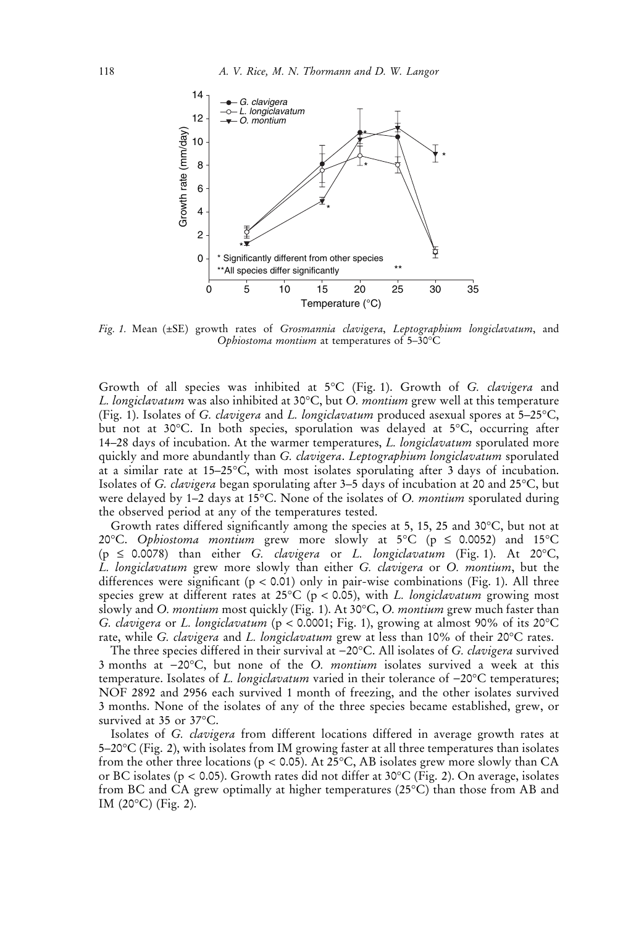

Fig. 1. Mean (±SE) growth rates of Grosmannia clavigera, Leptographium longiclavatum, and Ophiostoma montium at temperatures of 5-30°C

Growth of all species was inhibited at 5°C (Fig. 1). Growth of G. *clavigera* and L. longiclavatum was also inhibited at 30°C, but O. *montium* grew well at this temperature (Fig. 1). Isolates of *G. clavigera* and *L. longiclavatum* produced asexual spores at 5–25°C, but not at 30°C. In both species, sporulation was delayed at 5°C, occurring after 14–28 days of incubation. At the warmer temperatures, L. longiclavatum sporulated more quickly and more abundantly than G. *clavigera*. Leptographium longiclavatum sporulated at a similar rate at 15–25 °C, with most isolates sporulating after 3 days of incubation. Isolates of *G. clavigera* began sporulating after 3–5 days of incubation at 20 and 25°C, but were delayed by  $1-2$  days at 15°C. None of the isolates of O. *montium* sporulated during the observed period at any of the temperatures tested.

Growth rates differed significantly among the species at 5, 15, 25 and 30 $\degree$ C, but not at 20°C. *Ophiostoma montium* grew more slowly at 5°C (p  $\leq$  0.0052) and 15°C (p  $\leq$  0.0078) than either G. clavigera or L. longiclavatum (Fig. 1). At 20°C, L. longiclavatum grew more slowly than either G. clavigera or O. montium, but the differences were significant ( $p < 0.01$ ) only in pair-wise combinations (Fig. 1). All three species grew at different rates at 25°C (p < 0.05), with L. longiclavatum growing most slowly and O. *montium* most quickly (Fig. 1). At 30°C, O. *montium* grew much faster than *G. clavigera or L. longiclavatum* (p < 0.0001; Fig. 1), growing at almost 90% of its 20°C rate, while G. *clavigera* and L. lo*ngiclavatum* grew at less than 10% of their 20°C rates.

The three species differed in their survival at  $-20^{\circ}\text{C}$ . All isolates of *G. clavigera* survived 3 months at  $-20^{\circ}$ C, but none of the O. *montium* isolates survived a week at this temperature. Isolates of L. longiclavatum varied in their tolerance of  $-20^{\circ}$ C temperatures; NOF 2892 and 2956 each survived 1 month of freezing, and the other isolates survived 3 months. None of the isolates of any of the three species became established, grew, or survived at 35 or 37°C.

Isolates of G. clavigera from different locations differed in average growth rates at 5–20°C (Fig. 2), with isolates from IM growing faster at all three temperatures than isolates from the other three locations (p < 0.05). At 25°C, AB isolates grew more slowly than CA or BC isolates ( $p < 0.05$ ). Growth rates did not differ at 30°C (Fig. 2). On average, isolates from BC and CA grew optimally at higher temperatures (25°C) than those from AB and IM (20°C) (Fig. 2).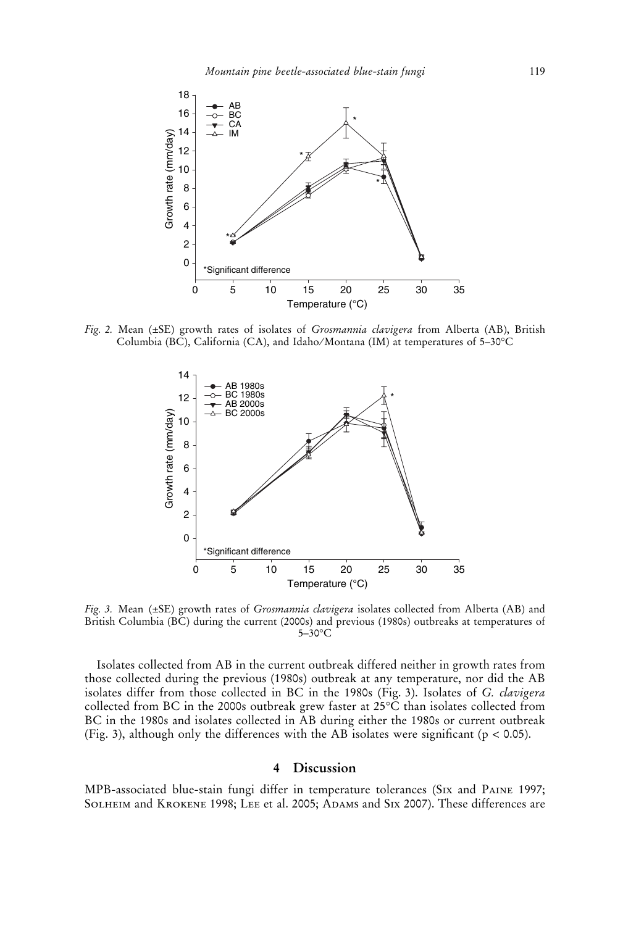

Fig. 2. Mean  $(\pm SE)$  growth rates of isolates of *Grosmannia clavigera* from Alberta (AB), British Columbia (BC), California (CA), and Idaho/Montana (IM) at temperatures of 5–30°C  $\,$ 



Fig. 3. Mean (±SE) growth rates of Grosmannia clavigera isolates collected from Alberta (AB) and British Columbia (BC) during the current (2000s) and previous (1980s) outbreaks at temperatures of 5–30°C

Isolates collected from AB in the current outbreak differed neither in growth rates from those collected during the previous (1980s) outbreak at any temperature, nor did the AB isolates differ from those collected in BC in the 1980s (Fig. 3). Isolates of G. *clavigera* collected from BC in the 2000s outbreak grew faster at 25°C than isolates collected from BC in the 1980s and isolates collected in AB during either the 1980s or current outbreak (Fig. 3), although only the differences with the AB isolates were significant ( $p < 0.05$ ).

#### 4 Discussion

MPB-associated blue-stain fungi differ in temperature tolerances (Six and Paine 1997;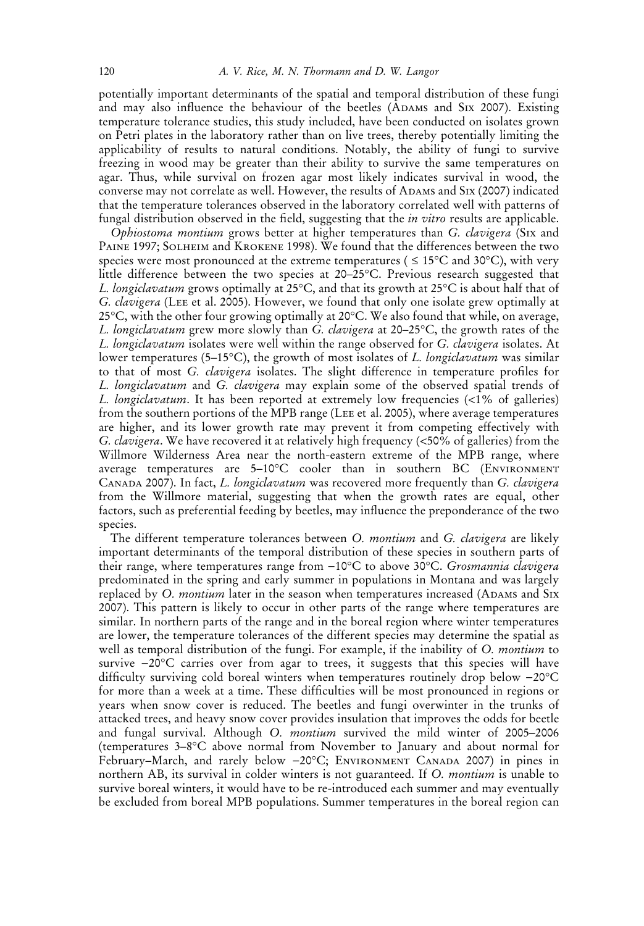potentially important determinants of the spatial and temporal distribution of these fungi and may also influence the behaviour of the beetles (ADAMS and SIX 2007). Existing temperature tolerance studies, this study included, have been conducted on isolates grown on Petri plates in the laboratory rather than on live trees, thereby potentially limiting the applicability of results to natural conditions. Notably, the ability of fungi to survive freezing in wood may be greater than their ability to survive the same temperatures on agar. Thus, while survival on frozen agar most likely indicates survival in wood, the converse may not correlate as well. However, the results of Adams and Six (2007) indicated that the temperature tolerances observed in the laboratory correlated well with patterns of fungal distribution observed in the field, suggesting that the *in vitro* results are applicable.

Ophiostoma montium grows better at higher temperatures than G. clavigera (SIX and Paine 1997; Solheim and Krokene 1998). We found that the differences between the two species were most pronounced at the extreme temperatures (  $\leq 15^{\circ}$ C and 30°C), with very little difference between the two species at 20–25°C. Previous research suggested that *L. longiclavatum* grows optimally at 25°C, and that its growth at 25°C is about half that of G. clavigera (Lee et al. 2005). However, we found that only one isolate grew optimally at 25°C, with the other four growing optimally at 20°C. We also found that while, on average, L. longiclavatum grew more slowly than G. clavigera at 20–25°C, the growth rates of the L. longiclavatum isolates were well within the range observed for G. clavigera isolates. At lower temperatures (5–15°C), the growth of most isolates of *L. longiclavatum* was similar to that of most G. clavigera isolates. The slight difference in temperature profiles for L. longiclavatum and G. clavigera may explain some of the observed spatial trends of L. longiclavatum. It has been reported at extremely low frequencies (<1% of galleries) from the southern portions of the MPB range (Lee et al. 2005), where average temperatures are higher, and its lower growth rate may prevent it from competing effectively with G. clavigera. We have recovered it at relatively high frequency (<50% of galleries) from the Willmore Wilderness Area near the north-eastern extreme of the MPB range, where average temperatures are 5-10°C cooler than in southern BC (ENVIRONMENT CANADA 2007). In fact, L. longiclavatum was recovered more frequently than G. clavigera from the Willmore material, suggesting that when the growth rates are equal, other factors, such as preferential feeding by beetles, may influence the preponderance of the two species.

The different temperature tolerances between O. montium and G. clavigera are likely important determinants of the temporal distribution of these species in southern parts of their range, where temperatures range from -10°C to above 30°C. Grosmannia clavigera predominated in the spring and early summer in populations in Montana and was largely replaced by O. montium later in the season when temperatures increased (ADAMS and SIX 2007). This pattern is likely to occur in other parts of the range where temperatures are similar. In northern parts of the range and in the boreal region where winter temperatures are lower, the temperature tolerances of the different species may determine the spatial as well as temporal distribution of the fungi. For example, if the inability of O. *montium* to survive  $-20^{\circ}\text{C}$  carries over from agar to trees, it suggests that this species will have difficulty surviving cold boreal winters when temperatures routinely drop below  $-20^{\circ}$ C for more than a week at a time. These difficulties will be most pronounced in regions or years when snow cover is reduced. The beetles and fungi overwinter in the trunks of attacked trees, and heavy snow cover provides insulation that improves the odds for beetle and fungal survival. Although O. montium survived the mild winter of 2005–2006 (temperatures 3–8-C above normal from November to January and about normal for February-March, and rarely below -20°C; ENVIRONMENT CANADA 2007) in pines in northern AB, its survival in colder winters is not guaranteed. If O. montium is unable to survive boreal winters, it would have to be re-introduced each summer and may eventually be excluded from boreal MPB populations. Summer temperatures in the boreal region can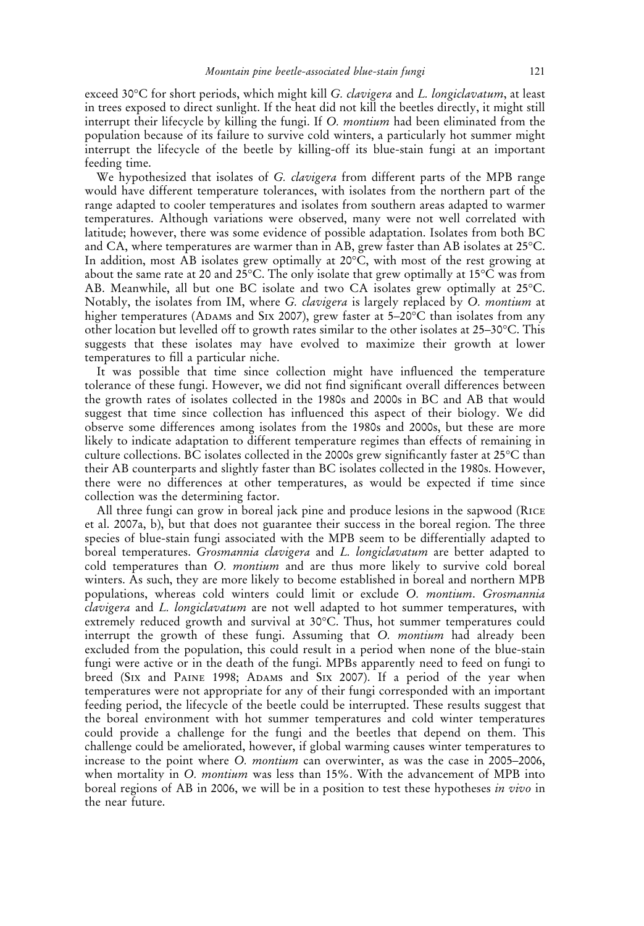exceed 30°C for short periods, which might kill *G. clavigera* and *L. longiclavatum*, at least in trees exposed to direct sunlight. If the heat did not kill the beetles directly, it might still interrupt their lifecycle by killing the fungi. If O. montium had been eliminated from the population because of its failure to survive cold winters, a particularly hot summer might interrupt the lifecycle of the beetle by killing-off its blue-stain fungi at an important feeding time.

We hypothesized that isolates of G. *clavigera* from different parts of the MPB range would have different temperature tolerances, with isolates from the northern part of the range adapted to cooler temperatures and isolates from southern areas adapted to warmer temperatures. Although variations were observed, many were not well correlated with latitude; however, there was some evidence of possible adaptation. Isolates from both BC and CA, where temperatures are warmer than in AB, grew faster than AB isolates at 25°C. In addition, most AB isolates grew optimally at 20°C, with most of the rest growing at about the same rate at 20 and 25°C. The only isolate that grew optimally at 15°C was from AB. Meanwhile, all but one BC isolate and two CA isolates grew optimally at 25°C. Notably, the isolates from IM, where G. *clavigera* is largely replaced by O. *montium* at higher temperatures (ADAMs and S1x 2007), grew faster at 5–20 $^{\circ} \text{C}$  than isolates from any other location but levelled off to growth rates similar to the other isolates at 25–30°C. This suggests that these isolates may have evolved to maximize their growth at lower temperatures to fill a particular niche.

It was possible that time since collection might have influenced the temperature tolerance of these fungi. However, we did not find significant overall differences between the growth rates of isolates collected in the 1980s and 2000s in BC and AB that would suggest that time since collection has influenced this aspect of their biology. We did observe some differences among isolates from the 1980s and 2000s, but these are more likely to indicate adaptation to different temperature regimes than effects of remaining in culture collections. BC isolates collected in the 2000s grew significantly faster at 25°C than their AB counterparts and slightly faster than BC isolates collected in the 1980s. However, there were no differences at other temperatures, as would be expected if time since collection was the determining factor.

All three fungi can grow in boreal jack pine and produce lesions in the sapwood (Rice et al. 2007a, b), but that does not guarantee their success in the boreal region. The three species of blue-stain fungi associated with the MPB seem to be differentially adapted to boreal temperatures. Grosmannia clavigera and L. longiclavatum are better adapted to cold temperatures than O. montium and are thus more likely to survive cold boreal winters. As such, they are more likely to become established in boreal and northern MPB populations, whereas cold winters could limit or exclude O. montium. Grosmannia clavigera and L. longiclavatum are not well adapted to hot summer temperatures, with extremely reduced growth and survival at 30°C. Thus, hot summer temperatures could interrupt the growth of these fungi. Assuming that O. montium had already been excluded from the population, this could result in a period when none of the blue-stain fungi were active or in the death of the fungi. MPBs apparently need to feed on fungi to breed (Six and Paine 1998; Adams and Six 2007). If a period of the year when temperatures were not appropriate for any of their fungi corresponded with an important feeding period, the lifecycle of the beetle could be interrupted. These results suggest that the boreal environment with hot summer temperatures and cold winter temperatures could provide a challenge for the fungi and the beetles that depend on them. This challenge could be ameliorated, however, if global warming causes winter temperatures to increase to the point where *O. montium* can overwinter, as was the case in 2005–2006, when mortality in O. *montium* was less than 15%. With the advancement of MPB into boreal regions of AB in 2006, we will be in a position to test these hypotheses in vivo in the near future.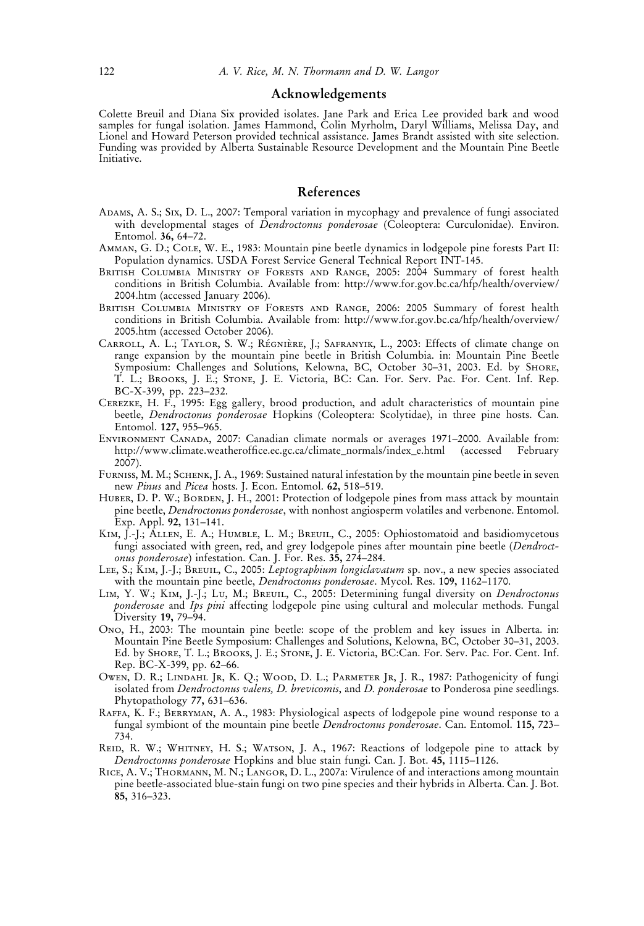#### Acknowledgements

Colette Breuil and Diana Six provided isolates. Jane Park and Erica Lee provided bark and wood samples for fungal isolation. James Hammond, Čolin Myrholm, Daryl Williams, Melissa Day, and Lionel and Howard Peterson provided technical assistance. James Brandt assisted with site selection. Funding was provided by Alberta Sustainable Resource Development and the Mountain Pine Beetle Initiative.

# References

- Adams, A. S.; Six, D. L., 2007: Temporal variation in mycophagy and prevalence of fungi associated with developmental stages of *Dendroctonus ponderosae* (Coleoptera: Curculonidae). Environ. Entomol. 36, 64–72.
- Amman, G. D.; Cole, W. E., 1983: Mountain pine beetle dynamics in lodgepole pine forests Part II: Population dynamics. USDA Forest Service General Technical Report INT-145.
- British Columbia Ministry of Forests and Range, 2005: 2004 Summary of forest health conditions in British Columbia. Available from: http://www.for.gov.bc.ca/hfp/health/overview/ 2004.htm (accessed January 2006).
- British Columbia Ministry of Forests and Range, 2006: 2005 Summary of forest health conditions in British Columbia. Available from: http://www.for.gov.bc.ca/hfp/health/overview/ 2005.htm (accessed October 2006).
- CARROLL, A. L.; TAYLOR, S. W.; RÉGNIÈRE, J.; SAFRANYIK, L., 2003: Effects of climate change on range expansion by the mountain pine beetle in British Columbia. in: Mountain Pine Beetle Symposium: Challenges and Solutions, Kelowna, BC, October 30–31, 2003. Ed. by Shore, T. L.; Brooks, J. E.; Stone, J. E. Victoria, BC: Can. For. Serv. Pac. For. Cent. Inf. Rep. BC-X-399, pp. 223–232.
- Cerezke, H. F., 1995: Egg gallery, brood production, and adult characteristics of mountain pine beetle, *Dendroctonus ponderosae* Hopkins (Coleoptera: Scolytidae), in three pine hosts. Can. Entomol. 127, 955–965.
- Environment Canada, 2007: Canadian climate normals or averages 1971–2000. Available from: http://www.climate.weatheroffice.ec.gc.ca/climate\_normals/index\_e.html (accessed 2007).
- Furniss, M. M.; Schenk, J. A., 1969: Sustained natural infestation by the mountain pine beetle in seven new Pinus and Picea hosts. J. Econ. Entomol. 62, 518-519.
- HUBER, D. P. W.; BORDEN, J. H., 2001: Protection of lodgepole pines from mass attack by mountain pine beetle, Dendroctonus ponderosae, with nonhost angiosperm volatiles and verbenone. Entomol. Exp. Appl. 92, 131–141.
- KIM, I.-J.; ALLEN, E. A.; HUMBLE, L. M.; BREUIL, C., 2005: Ophiostomatoid and basidiomycetous fungi associated with green, red, and grey lodgepole pines after mountain pine beetle (*Dendroct*onus ponderosae) infestation. Can. J. For. Res. 35, 274–284.
- LEE, S.; KIM, J.-J.; BREUIL, C., 2005: Leptographium longiclavatum sp. nov., a new species associated with the mountain pine beetle, *Dendroctonus ponderosae*. Mycol. Res. 109, 1162–1170.
- LIM, Y. W.; KIM, J.-J.; LU, M.; BREUIL, C., 2005: Determining fungal diversity on *Dendroctonus* ponderosae and Ips pini affecting lodgepole pine using cultural and molecular methods. Fungal Diversity 19, 79–94.
- Ono, H., 2003: The mountain pine beetle: scope of the problem and key issues in Alberta. in: Mountain Pine Beetle Symposium: Challenges and Solutions, Kelowna, BC, October 30–31, 2003. Ed. by Shore, T. L.; Brooks, J. E.; Stone, J. E. Victoria, BC:Can. For. Serv. Pac. For. Cent. Inf. Rep. BC-X-399, pp. 62–66.
- OWEN, D. R.; LINDAHL JR, K. Q.; WOOD, D. L.; PARMETER JR, J. R., 1987: Pathogenicity of fungi isolated from Dendroctonus valens, D. brevicomis, and D. ponderosae to Ponderosa pine seedlings. Phytopathology 77, 631–636.
- Raffa, K. F.; Berryman, A. A., 1983: Physiological aspects of lodgepole pine wound response to a fungal symbiont of the mountain pine beetle Dendroctonus ponderosae. Can. Entomol. 115, 723– 734.
- REID, R. W.; WHITNEY, H. S.; WATSON, J. A., 1967: Reactions of lodgepole pine to attack by Dendroctonus ponderosae Hopkins and blue stain fungi. Can. J. Bot. 45, 1115–1126.
- RICE, A. V.; THORMANN, M. N.; LANGOR, D. L., 2007a: Virulence of and interactions among mountain pine beetle-associated blue-stain fungi on two pine species and their hybrids in Alberta. Can. J. Bot. 85, 316–323.